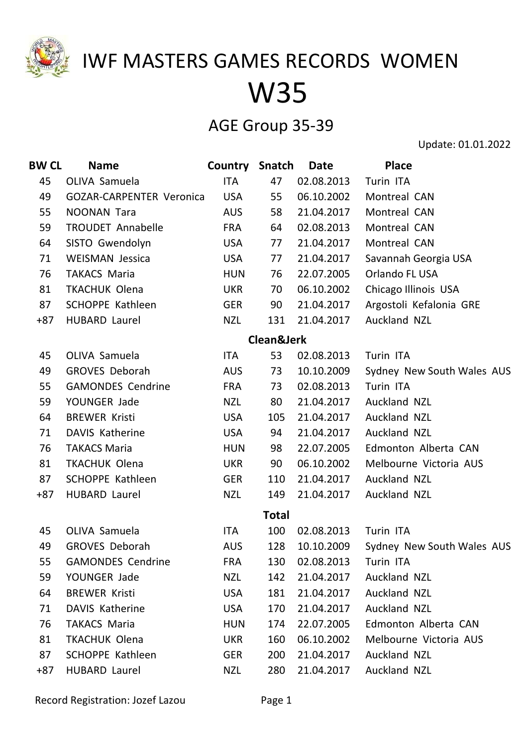

#### W35

#### AGE Group 35-39

| <b>BW CL</b> | <b>Name</b>                     | Country    | <b>Snatch</b> | <b>Date</b> | <b>Place</b>               |
|--------------|---------------------------------|------------|---------------|-------------|----------------------------|
| 45           | OLIVA Samuela                   | <b>ITA</b> | 47            | 02.08.2013  | Turin ITA                  |
| 49           | <b>GOZAR-CARPENTER Veronica</b> | <b>USA</b> | 55            | 06.10.2002  | Montreal CAN               |
| 55           | <b>NOONAN Tara</b>              | <b>AUS</b> | 58            | 21.04.2017  | Montreal CAN               |
| 59           | <b>TROUDET Annabelle</b>        | <b>FRA</b> | 64            | 02.08.2013  | Montreal CAN               |
| 64           | SISTO Gwendolyn                 | <b>USA</b> | 77            | 21.04.2017  | Montreal CAN               |
| 71           | <b>WEISMAN Jessica</b>          | <b>USA</b> | 77            | 21.04.2017  | Savannah Georgia USA       |
| 76           | <b>TAKACS Maria</b>             | <b>HUN</b> | 76            | 22.07.2005  | Orlando FL USA             |
| 81           | <b>TKACHUK Olena</b>            | <b>UKR</b> | 70            | 06.10.2002  | Chicago Illinois USA       |
| 87           | <b>SCHOPPE Kathleen</b>         | <b>GER</b> | 90            | 21.04.2017  | Argostoli Kefalonia GRE    |
| $+87$        | <b>HUBARD Laurel</b>            | <b>NZL</b> | 131           | 21.04.2017  | Auckland NZL               |
|              |                                 |            | Clean&Jerk    |             |                            |
| 45           | OLIVA Samuela                   | <b>ITA</b> | 53            | 02.08.2013  | Turin ITA                  |
| 49           | <b>GROVES Deborah</b>           | <b>AUS</b> | 73            | 10.10.2009  | Sydney New South Wales AUS |
| 55           | <b>GAMONDES Cendrine</b>        | <b>FRA</b> | 73            | 02.08.2013  | Turin ITA                  |
| 59           | YOUNGER Jade                    | <b>NZL</b> | 80            | 21.04.2017  | Auckland NZL               |
| 64           | <b>BREWER Kristi</b>            | <b>USA</b> | 105           | 21.04.2017  | Auckland NZL               |
| 71           | DAVIS Katherine                 | <b>USA</b> | 94            | 21.04.2017  | Auckland NZL               |
| 76           | <b>TAKACS Maria</b>             | <b>HUN</b> | 98            | 22.07.2005  | Edmonton Alberta CAN       |
| 81           | <b>TKACHUK Olena</b>            | <b>UKR</b> | 90            | 06.10.2002  | Melbourne Victoria AUS     |
| 87           | <b>SCHOPPE Kathleen</b>         | <b>GER</b> | 110           | 21.04.2017  | Auckland NZL               |
| $+87$        | <b>HUBARD Laurel</b>            | <b>NZL</b> | 149           | 21.04.2017  | Auckland NZL               |
|              |                                 |            | <b>Total</b>  |             |                            |
| 45           | OLIVA Samuela                   | ITA        | 100           | 02.08.2013  | Turin ITA                  |
| 49           | <b>GROVES Deborah</b>           | <b>AUS</b> | 128           | 10.10.2009  | Sydney New South Wales AUS |
| 55           | <b>GAMONDES Cendrine</b>        | FRA        | 130           | 02.08.2013  | Turin ITA                  |
| 59           | YOUNGER Jade                    | <b>NZL</b> | 142           | 21.04.2017  | Auckland NZL               |
| 64           | <b>BREWER Kristi</b>            | <b>USA</b> | 181           | 21.04.2017  | Auckland NZL               |
| 71           | <b>DAVIS Katherine</b>          | <b>USA</b> | 170           | 21.04.2017  | <b>Auckland NZL</b>        |
| 76           | <b>TAKACS Maria</b>             | <b>HUN</b> | 174           | 22.07.2005  | Edmonton Alberta CAN       |
| 81           | <b>TKACHUK Olena</b>            | <b>UKR</b> | 160           | 06.10.2002  | Melbourne Victoria AUS     |
| 87           | <b>SCHOPPE Kathleen</b>         | <b>GER</b> | 200           | 21.04.2017  | Auckland NZL               |
| $+87$        | <b>HUBARD Laurel</b>            | <b>NZL</b> | 280           | 21.04.2017  | <b>Auckland NZL</b>        |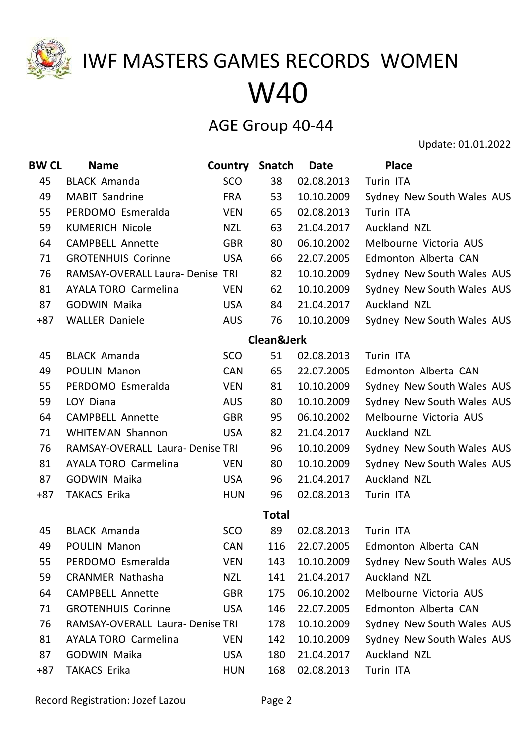

#### AGE Group 40-44

Update: 01.01.2022

| <b>BW CL</b> | <b>Name</b>                      | Country    | Snatch       | <b>Date</b> | <b>Place</b>               |
|--------------|----------------------------------|------------|--------------|-------------|----------------------------|
| 45           | <b>BLACK Amanda</b>              | SCO        | 38           | 02.08.2013  | Turin ITA                  |
| 49           | <b>MABIT Sandrine</b>            | <b>FRA</b> | 53           | 10.10.2009  | Sydney New South Wales AUS |
| 55           | PERDOMO Esmeralda                | <b>VEN</b> | 65           | 02.08.2013  | Turin ITA                  |
| 59           | <b>KUMERICH Nicole</b>           | <b>NZL</b> | 63           | 21.04.2017  | Auckland NZL               |
| 64           | <b>CAMPBELL Annette</b>          | <b>GBR</b> | 80           | 06.10.2002  | Melbourne Victoria AUS     |
| 71           | <b>GROTENHUIS Corinne</b>        | <b>USA</b> | 66           | 22.07.2005  | Edmonton Alberta CAN       |
| 76           | RAMSAY-OVERALL Laura- Denise TRI |            | 82           | 10.10.2009  | Sydney New South Wales AUS |
| 81           | <b>AYALA TORO Carmelina</b>      | <b>VEN</b> | 62           | 10.10.2009  | Sydney New South Wales AUS |
| 87           | <b>GODWIN Maika</b>              | <b>USA</b> | 84           | 21.04.2017  | Auckland NZL               |
| $+87$        | <b>WALLER Daniele</b>            | <b>AUS</b> | 76           | 10.10.2009  | Sydney New South Wales AUS |
|              |                                  |            | Clean&Jerk   |             |                            |
| 45           | <b>BLACK Amanda</b>              | <b>SCO</b> | 51           | 02.08.2013  | <b>Turin ITA</b>           |
| 49           | <b>POULIN Manon</b>              | <b>CAN</b> | 65           | 22.07.2005  | Edmonton Alberta CAN       |
| 55           | PERDOMO Esmeralda                | <b>VEN</b> | 81           | 10.10.2009  | Sydney New South Wales AUS |
| 59           | LOY Diana                        | <b>AUS</b> | 80           | 10.10.2009  | Sydney New South Wales AUS |
| 64           | <b>CAMPBELL Annette</b>          | <b>GBR</b> | 95           | 06.10.2002  | Melbourne Victoria AUS     |
| 71           | <b>WHITEMAN Shannon</b>          | <b>USA</b> | 82           | 21.04.2017  | Auckland NZL               |
| 76           | RAMSAY-OVERALL Laura- Denise TRI |            | 96           | 10.10.2009  | Sydney New South Wales AUS |
| 81           | <b>AYALA TORO Carmelina</b>      | <b>VEN</b> | 80           | 10.10.2009  | Sydney New South Wales AUS |
| 87           | <b>GODWIN Maika</b>              | <b>USA</b> | 96           | 21.04.2017  | Auckland NZL               |
| $+87$        | <b>TAKACS Erika</b>              | <b>HUN</b> | 96           | 02.08.2013  | Turin ITA                  |
|              |                                  |            | <b>Total</b> |             |                            |
| 45           | <b>BLACK Amanda</b>              | <b>SCO</b> | 89           | 02.08.2013  | Turin ITA                  |
| 49           | <b>POULIN Manon</b>              | <b>CAN</b> | 116          | 22.07.2005  | Edmonton Alberta CAN       |
| 55           | PERDOMO Esmeralda                | <b>VEN</b> | 143          | 10.10.2009  | Sydney New South Wales AUS |
| 59           | <b>CRANMER Nathasha</b>          | NZL        | 141          | 21.04.2017  | Auckland NZL               |
| 64           | <b>CAMPBELL Annette</b>          | <b>GBR</b> | 175          | 06.10.2002  | Melbourne Victoria AUS     |
| 71           | <b>GROTENHUIS Corinne</b>        | <b>USA</b> | 146          | 22.07.2005  | Edmonton Alberta CAN       |
| 76           | RAMSAY-OVERALL Laura- Denise TRI |            | 178          | 10.10.2009  | Sydney New South Wales AUS |
| 81           | <b>AYALA TORO Carmelina</b>      | <b>VEN</b> | 142          | 10.10.2009  | Sydney New South Wales AUS |
| 87           | <b>GODWIN Maika</b>              | <b>USA</b> | 180          | 21.04.2017  | Auckland NZL               |
| $+87$        | <b>TAKACS Erika</b>              | <b>HUN</b> | 168          | 02.08.2013  | Turin ITA                  |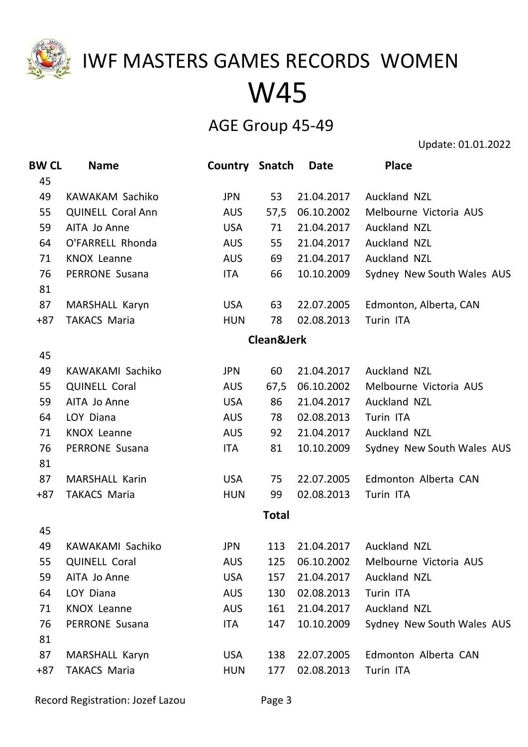

### W45

#### AGE Group 45-49

Update: 01.01.2022

| <b>BW CL</b> | <b>Name</b>              | <b>Country Snatch</b> |                       | <b>Date</b> | <b>Place</b>               |
|--------------|--------------------------|-----------------------|-----------------------|-------------|----------------------------|
| 45           |                          |                       |                       |             |                            |
| 49           | KAWAKAM Sachiko          | <b>JPN</b>            | 53                    | 21.04.2017  | Auckland NZL               |
| 55           | <b>QUINELL Coral Ann</b> | <b>AUS</b>            | 57,5                  | 06.10.2002  | Melbourne Victoria AUS     |
| 59           | AITA Jo Anne             | <b>USA</b>            | 71                    | 21.04.2017  | Auckland NZL               |
| 64           | O'FARRELL Rhonda         | <b>AUS</b>            | 55                    | 21.04.2017  | Auckland NZL               |
| 71           | <b>KNOX Leanne</b>       | <b>AUS</b>            | 69                    | 21.04.2017  | Auckland NZL               |
| 76           | <b>PERRONE Susana</b>    | <b>ITA</b>            | 66                    | 10.10.2009  | Sydney New South Wales AUS |
| 81           |                          |                       |                       |             |                            |
| 87           | MARSHALL Karyn           | <b>USA</b>            | 63                    | 22.07.2005  | Edmonton, Alberta, CAN     |
| $+87$        | <b>TAKACS Maria</b>      | <b>HUN</b>            | 78                    | 02.08.2013  | Turin ITA                  |
|              |                          |                       | <b>Clean&amp;Jerk</b> |             |                            |
| 45           |                          |                       |                       |             |                            |
| 49           | KAWAKAMI Sachiko         | <b>JPN</b>            | 60                    | 21.04.2017  | Auckland NZL               |
| 55           | <b>QUINELL Coral</b>     | <b>AUS</b>            | 67,5                  | 06.10.2002  | Melbourne Victoria AUS     |
| 59           | AITA Jo Anne             | <b>USA</b>            | 86                    | 21.04.2017  | Auckland NZL               |
| 64           | LOY Diana                | <b>AUS</b>            | 78                    | 02.08.2013  | Turin ITA                  |
| 71           | <b>KNOX Leanne</b>       | <b>AUS</b>            | 92                    | 21.04.2017  | Auckland NZL               |
| 76           | <b>PERRONE Susana</b>    | ITA                   | 81                    | 10.10.2009  | Sydney New South Wales AUS |
| 81           |                          |                       |                       |             |                            |
| 87           | <b>MARSHALL Karin</b>    | <b>USA</b>            | 75                    | 22.07.2005  | Edmonton Alberta CAN       |
| $+87$        | <b>TAKACS Maria</b>      | <b>HUN</b>            | 99                    | 02.08.2013  | Turin ITA                  |
|              |                          |                       | <b>Total</b>          |             |                            |
| 45           |                          |                       |                       |             |                            |
| 49           | KAWAKAMI Sachiko         | <b>JPN</b>            | 113                   | 21.04.2017  | <b>Auckland NZL</b>        |
| 55           | <b>QUINELL Coral</b>     | <b>AUS</b>            | 125                   | 06.10.2002  | Melbourne Victoria AUS     |
| 59           | AITA Jo Anne             | <b>USA</b>            | 157                   | 21.04.2017  | Auckland NZL               |
| 64           | LOY Diana                | <b>AUS</b>            | 130                   | 02.08.2013  | Turin ITA                  |
| 71           | <b>KNOX Leanne</b>       | <b>AUS</b>            | 161                   | 21.04.2017  | Auckland NZL               |
| 76           | PERRONE Susana           | <b>ITA</b>            | 147                   | 10.10.2009  | Sydney New South Wales AUS |
| 81           |                          |                       |                       |             |                            |
| 87           | MARSHALL Karyn           | <b>USA</b>            | 138                   | 22.07.2005  | Edmonton Alberta CAN       |
| +87          | <b>TAKACS Maria</b>      | <b>HUN</b>            | 177                   | 02.08.2013  | Turin ITA                  |
|              |                          |                       |                       |             |                            |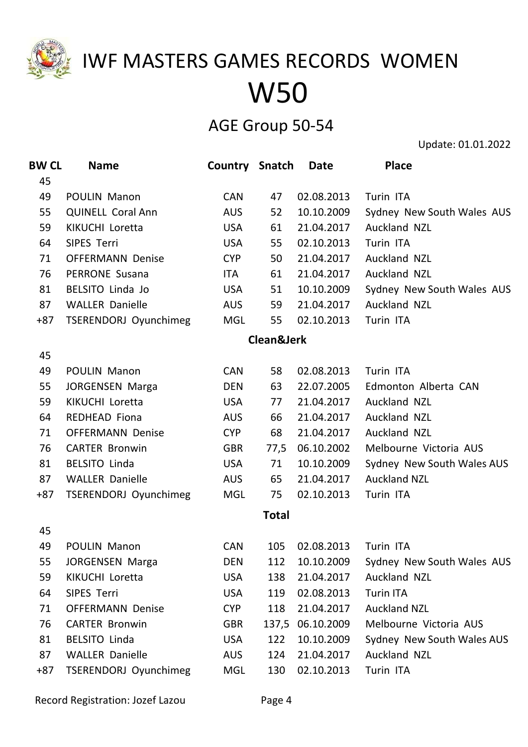

#### AGE Group 50-54

| <b>BW CL</b> | <b>Name</b>                  | Country    | <b>Snatch</b>         | <b>Date</b> | <b>Place</b>               |
|--------------|------------------------------|------------|-----------------------|-------------|----------------------------|
| 45           |                              |            |                       |             |                            |
| 49           | POULIN Manon                 | <b>CAN</b> | 47                    | 02.08.2013  | Turin ITA                  |
| 55           | <b>QUINELL Coral Ann</b>     | <b>AUS</b> | 52                    | 10.10.2009  | Sydney New South Wales AUS |
| 59           | KIKUCHI Loretta              | <b>USA</b> | 61                    | 21.04.2017  | Auckland NZL               |
| 64           | SIPES Terri                  | <b>USA</b> | 55                    | 02.10.2013  | Turin ITA                  |
| 71           | <b>OFFERMANN Denise</b>      | <b>CYP</b> | 50                    | 21.04.2017  | <b>Auckland NZL</b>        |
| 76           | <b>PERRONE Susana</b>        | <b>ITA</b> | 61                    | 21.04.2017  | Auckland NZL               |
| 81           | <b>BELSITO Linda Jo</b>      | <b>USA</b> | 51                    | 10.10.2009  | Sydney New South Wales AUS |
| 87           | <b>WALLER Danielle</b>       | <b>AUS</b> | 59                    | 21.04.2017  | Auckland NZL               |
| $+87$        | <b>TSERENDORJ Oyunchimeg</b> | <b>MGL</b> | 55                    | 02.10.2013  | Turin ITA                  |
|              |                              |            | <b>Clean&amp;Jerk</b> |             |                            |
| 45           |                              |            |                       |             |                            |
| 49           | POULIN Manon                 | <b>CAN</b> | 58                    | 02.08.2013  | Turin ITA                  |
| 55           | <b>JORGENSEN Marga</b>       | <b>DEN</b> | 63                    | 22.07.2005  | Edmonton Alberta CAN       |
| 59           | KIKUCHI Loretta              | <b>USA</b> | 77                    | 21.04.2017  | Auckland NZL               |
| 64           | <b>REDHEAD Fiona</b>         | <b>AUS</b> | 66                    | 21.04.2017  | Auckland NZL               |
| 71           | <b>OFFERMANN Denise</b>      | <b>CYP</b> | 68                    | 21.04.2017  | Auckland NZL               |
| 76           | <b>CARTER Bronwin</b>        | <b>GBR</b> | 77,5                  | 06.10.2002  | Melbourne Victoria AUS     |
| 81           | <b>BELSITO Linda</b>         | <b>USA</b> | 71                    | 10.10.2009  | Sydney New South Wales AUS |
| 87           | <b>WALLER Danielle</b>       | <b>AUS</b> | 65                    | 21.04.2017  | <b>Auckland NZL</b>        |
| $+87$        | TSERENDORJ Oyunchimeg        | <b>MGL</b> | 75                    | 02.10.2013  | Turin ITA                  |
|              |                              |            | <b>Total</b>          |             |                            |
| 45           |                              |            |                       |             |                            |
| 49           | <b>POULIN Manon</b>          | <b>CAN</b> | 105                   | 02.08.2013  | Turin ITA                  |
| 55           | <b>JORGENSEN Marga</b>       | <b>DEN</b> | 112                   | 10.10.2009  | Sydney New South Wales AUS |
| 59           | KIKUCHI Loretta              | <b>USA</b> | 138                   | 21.04.2017  | Auckland NZL               |
| 64           | SIPES Terri                  | <b>USA</b> | 119                   | 02.08.2013  | <b>Turin ITA</b>           |
| 71           | <b>OFFERMANN Denise</b>      | <b>CYP</b> | 118                   | 21.04.2017  | <b>Auckland NZL</b>        |
| 76           | <b>CARTER Bronwin</b>        | <b>GBR</b> | 137,5                 | 06.10.2009  | Melbourne Victoria AUS     |
| 81           | <b>BELSITO Linda</b>         | <b>USA</b> | 122                   | 10.10.2009  | Sydney New South Wales AUS |
| 87           | <b>WALLER Danielle</b>       | <b>AUS</b> | 124                   | 21.04.2017  | <b>Auckland NZL</b>        |
| $+87$        | <b>TSERENDORJ Oyunchimeg</b> | MGL        | 130                   | 02.10.2013  | Turin ITA                  |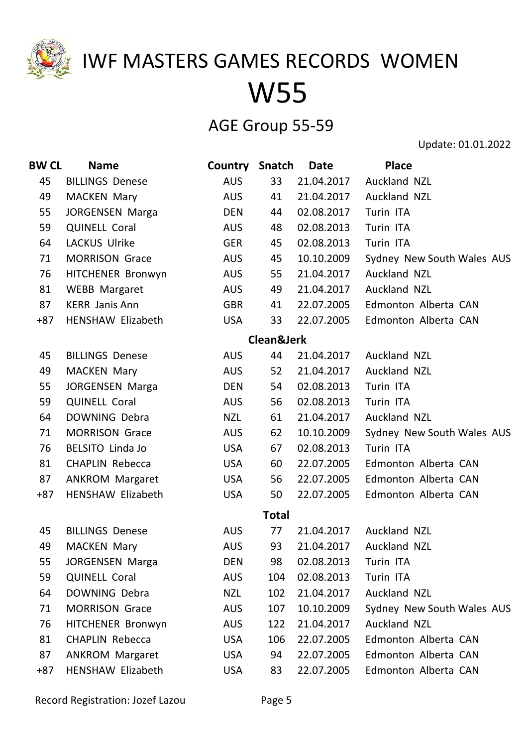

#### W55

#### AGE Group 55-59

Update: 01.01.2022

| <b>BW CL</b> | <b>Name</b>              | Country    | <b>Snatch</b> | <b>Date</b> | <b>Place</b>               |
|--------------|--------------------------|------------|---------------|-------------|----------------------------|
| 45           | <b>BILLINGS Denese</b>   | <b>AUS</b> | 33            | 21.04.2017  | Auckland NZL               |
| 49           | <b>MACKEN Mary</b>       | <b>AUS</b> | 41            | 21.04.2017  | Auckland NZL               |
| 55           | <b>JORGENSEN Marga</b>   | <b>DEN</b> | 44            | 02.08.2017  | Turin ITA                  |
| 59           | <b>QUINELL Coral</b>     | <b>AUS</b> | 48            | 02.08.2013  | Turin ITA                  |
| 64           | LACKUS Ulrike            | <b>GER</b> | 45            | 02.08.2013  | Turin ITA                  |
| 71           | <b>MORRISON Grace</b>    | <b>AUS</b> | 45            | 10.10.2009  | Sydney New South Wales AUS |
| 76           | HITCHENER Bronwyn        | <b>AUS</b> | 55            | 21.04.2017  | Auckland NZL               |
| 81           | <b>WEBB Margaret</b>     | <b>AUS</b> | 49            | 21.04.2017  | Auckland NZL               |
| 87           | <b>KERR Janis Ann</b>    | <b>GBR</b> | 41            | 22.07.2005  | Edmonton Alberta CAN       |
| $+87$        | <b>HENSHAW Elizabeth</b> | <b>USA</b> | 33            | 22.07.2005  | Edmonton Alberta CAN       |
|              |                          |            | Clean&Jerk    |             |                            |
| 45           | <b>BILLINGS Denese</b>   | <b>AUS</b> | 44            | 21.04.2017  | Auckland NZL               |
| 49           | <b>MACKEN Mary</b>       | <b>AUS</b> | 52            | 21.04.2017  | Auckland NZL               |
| 55           | <b>JORGENSEN Marga</b>   | <b>DEN</b> | 54            | 02.08.2013  | Turin ITA                  |
| 59           | QUINELL Coral            | <b>AUS</b> | 56            | 02.08.2013  | Turin ITA                  |
| 64           | DOWNING Debra            | <b>NZL</b> | 61            | 21.04.2017  | Auckland NZL               |
| 71           | <b>MORRISON Grace</b>    | <b>AUS</b> | 62            | 10.10.2009  | Sydney New South Wales AUS |
| 76           | <b>BELSITO Linda Jo</b>  | <b>USA</b> | 67            | 02.08.2013  | Turin ITA                  |
| 81           | <b>CHAPLIN Rebecca</b>   | <b>USA</b> | 60            | 22.07.2005  | Edmonton Alberta CAN       |
| 87           | <b>ANKROM Margaret</b>   | <b>USA</b> | 56            | 22.07.2005  | Edmonton Alberta CAN       |
| $+87$        | <b>HENSHAW Elizabeth</b> | <b>USA</b> | 50            | 22.07.2005  | Edmonton Alberta CAN       |
|              |                          |            | <b>Total</b>  |             |                            |
| 45           | <b>BILLINGS Denese</b>   | <b>AUS</b> | 77            | 21.04.2017  | <b>Auckland NZL</b>        |
| 49           | <b>MACKEN Mary</b>       | <b>AUS</b> | 93            | 21.04.2017  | Auckland NZL               |
| 55           | <b>JORGENSEN Marga</b>   | <b>DEN</b> | 98            | 02.08.2013  | Turin ITA                  |
| 59           | <b>QUINELL Coral</b>     | <b>AUS</b> | 104           | 02.08.2013  | Turin ITA                  |
| 64           | DOWNING Debra            | <b>NZL</b> | 102           | 21.04.2017  | Auckland NZL               |
| 71           | <b>MORRISON Grace</b>    | <b>AUS</b> | 107           | 10.10.2009  | Sydney New South Wales AUS |
| 76           | HITCHENER Bronwyn        | <b>AUS</b> | 122           | 21.04.2017  | <b>Auckland NZL</b>        |
| 81           | <b>CHAPLIN Rebecca</b>   | <b>USA</b> | 106           | 22.07.2005  | Edmonton Alberta CAN       |
| 87           | <b>ANKROM Margaret</b>   | <b>USA</b> | 94            | 22.07.2005  | Edmonton Alberta CAN       |
| $+87$        | <b>HENSHAW Elizabeth</b> | <b>USA</b> | 83            | 22.07.2005  | Edmonton Alberta CAN       |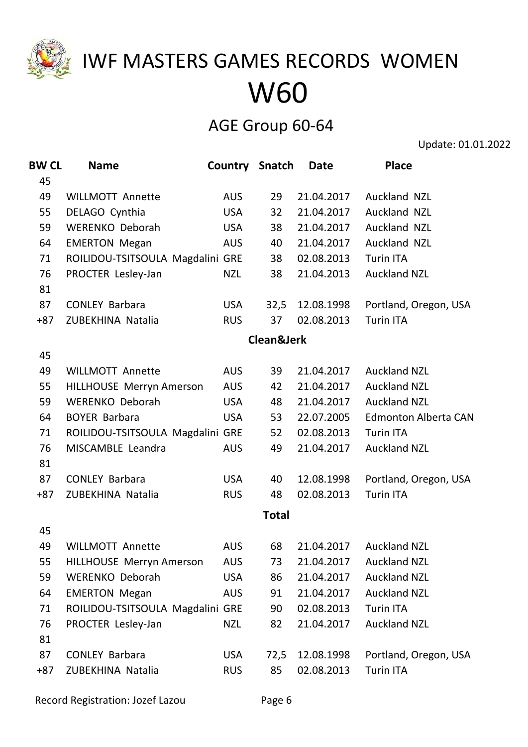

#### AGE Group 60-64

Update: 01.01.2022

| <b>BW CL</b> | <b>Name</b>                      |            | Country Snatch | <b>Date</b> | <b>Place</b>                |
|--------------|----------------------------------|------------|----------------|-------------|-----------------------------|
| 45           |                                  |            |                |             |                             |
| 49           | <b>WILLMOTT Annette</b>          | <b>AUS</b> | 29             | 21.04.2017  | Auckland NZL                |
| 55           | DELAGO Cynthia                   | <b>USA</b> | 32             | 21.04.2017  | Auckland NZL                |
| 59           | <b>WERENKO Deborah</b>           | <b>USA</b> | 38             | 21.04.2017  | Auckland NZL                |
| 64           | <b>EMERTON Megan</b>             | <b>AUS</b> | 40             | 21.04.2017  | Auckland NZL                |
| 71           | ROILIDOU-TSITSOULA Magdalini GRE |            | 38             | 02.08.2013  | <b>Turin ITA</b>            |
| 76           | PROCTER Lesley-Jan               | <b>NZL</b> | 38             | 21.04.2013  | <b>Auckland NZL</b>         |
| 81           |                                  |            |                |             |                             |
| 87           | <b>CONLEY Barbara</b>            | <b>USA</b> | 32,5           | 12.08.1998  | Portland, Oregon, USA       |
| $+87$        | ZUBEKHINA Natalia                | <b>RUS</b> | 37             | 02.08.2013  | <b>Turin ITA</b>            |
|              |                                  |            | Clean&Jerk     |             |                             |
| 45           |                                  |            |                |             |                             |
| 49           | <b>WILLMOTT Annette</b>          | <b>AUS</b> | 39             | 21.04.2017  | <b>Auckland NZL</b>         |
| 55           | HILLHOUSE Merryn Amerson         | <b>AUS</b> | 42             | 21.04.2017  | <b>Auckland NZL</b>         |
| 59           | <b>WERENKO Deborah</b>           | <b>USA</b> | 48             | 21.04.2017  | <b>Auckland NZL</b>         |
| 64           | <b>BOYER Barbara</b>             | <b>USA</b> | 53             | 22.07.2005  | <b>Edmonton Alberta CAN</b> |
| 71           | ROILIDOU-TSITSOULA Magdalini GRE |            | 52             | 02.08.2013  | <b>Turin ITA</b>            |
| 76           | MISCAMBLE Leandra                | <b>AUS</b> | 49             | 21.04.2017  | <b>Auckland NZL</b>         |
| 81           |                                  |            |                |             |                             |
| 87           | <b>CONLEY Barbara</b>            | <b>USA</b> | 40             | 12.08.1998  | Portland, Oregon, USA       |
| $+87$        | ZUBEKHINA Natalia                | <b>RUS</b> | 48             | 02.08.2013  | <b>Turin ITA</b>            |
|              |                                  |            | <b>Total</b>   |             |                             |
| 45           |                                  |            |                |             |                             |
| 49           | <b>WILLMOTT Annette</b>          | <b>AUS</b> | 68             | 21.04.2017  | <b>Auckland NZL</b>         |
| 55           | HILLHOUSE Merryn Amerson         | <b>AUS</b> | 73             | 21.04.2017  | <b>Auckland NZL</b>         |
| 59           | <b>WERENKO Deborah</b>           | <b>USA</b> | 86             | 21.04.2017  | <b>Auckland NZL</b>         |
| 64           | <b>EMERTON Megan</b>             | <b>AUS</b> | 91             | 21.04.2017  | <b>Auckland NZL</b>         |
| 71           | ROILIDOU-TSITSOULA Magdalini GRE |            | 90             | 02.08.2013  | <b>Turin ITA</b>            |
| 76           | PROCTER Lesley-Jan               | <b>NZL</b> | 82             | 21.04.2017  | <b>Auckland NZL</b>         |
| 81           |                                  |            |                |             |                             |
| 87           | <b>CONLEY Barbara</b>            | <b>USA</b> | 72,5           | 12.08.1998  | Portland, Oregon, USA       |
| $+87$        | ZUBEKHINA Natalia                | <b>RUS</b> | 85             | 02.08.2013  | <b>Turin ITA</b>            |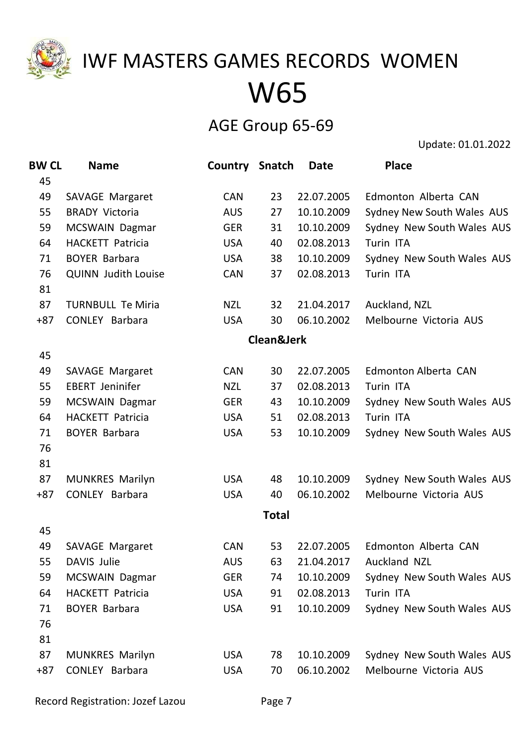

#### AGE Group 65-69

Update: 01.01.2022

| <b>BW CL</b><br>45 | <b>Name</b>                | Country Snatch |                       | <b>Date</b> | <b>Place</b>               |
|--------------------|----------------------------|----------------|-----------------------|-------------|----------------------------|
| 49                 | <b>SAVAGE Margaret</b>     | <b>CAN</b>     | 23                    | 22.07.2005  | Edmonton Alberta CAN       |
| 55                 | <b>BRADY Victoria</b>      | <b>AUS</b>     | 27                    | 10.10.2009  | Sydney New South Wales AUS |
| 59                 | MCSWAIN Dagmar             | <b>GER</b>     | 31                    | 10.10.2009  | Sydney New South Wales AUS |
| 64                 | <b>HACKETT Patricia</b>    | <b>USA</b>     | 40                    | 02.08.2013  | Turin ITA                  |
| 71                 | <b>BOYER Barbara</b>       | <b>USA</b>     | 38                    | 10.10.2009  | Sydney New South Wales AUS |
| 76                 | <b>QUINN Judith Louise</b> | <b>CAN</b>     | 37                    | 02.08.2013  | Turin ITA                  |
| 81                 |                            |                |                       |             |                            |
| 87                 | <b>TURNBULL Te Miria</b>   | <b>NZL</b>     | 32                    | 21.04.2017  | Auckland, NZL              |
| $+87$              | <b>CONLEY Barbara</b>      | <b>USA</b>     | 30                    | 06.10.2002  | Melbourne Victoria AUS     |
|                    |                            |                | <b>Clean&amp;Jerk</b> |             |                            |
| 45                 |                            |                |                       |             |                            |
| 49                 | <b>SAVAGE Margaret</b>     | <b>CAN</b>     | 30                    | 22.07.2005  | Edmonton Alberta CAN       |
| 55                 | <b>EBERT Jeninifer</b>     | <b>NZL</b>     | 37                    | 02.08.2013  | Turin ITA                  |
| 59                 | MCSWAIN Dagmar             | <b>GER</b>     | 43                    | 10.10.2009  | Sydney New South Wales AUS |
| 64                 | <b>HACKETT Patricia</b>    | <b>USA</b>     | 51                    | 02.08.2013  | Turin ITA                  |
| 71                 | <b>BOYER Barbara</b>       | <b>USA</b>     | 53                    | 10.10.2009  | Sydney New South Wales AUS |
| 76                 |                            |                |                       |             |                            |
| 81                 |                            |                |                       |             |                            |
| 87                 | <b>MUNKRES Marilyn</b>     | <b>USA</b>     | 48                    | 10.10.2009  | Sydney New South Wales AUS |
| $+87$              | <b>CONLEY Barbara</b>      | <b>USA</b>     | 40                    | 06.10.2002  | Melbourne Victoria AUS     |
|                    |                            |                | <b>Total</b>          |             |                            |
| 45                 |                            |                |                       |             |                            |
| 49                 | <b>SAVAGE Margaret</b>     | <b>CAN</b>     | 53                    | 22.07.2005  | Edmonton Alberta CAN       |
| 55                 | DAVIS Julie                | <b>AUS</b>     | 63                    | 21.04.2017  | Auckland NZL               |
| 59                 | MCSWAIN Dagmar             | <b>GER</b>     | 74                    | 10.10.2009  | Sydney New South Wales AUS |
| 64                 | <b>HACKETT Patricia</b>    | <b>USA</b>     | 91                    | 02.08.2013  | Turin ITA                  |
| 71                 | <b>BOYER Barbara</b>       | <b>USA</b>     | 91                    | 10.10.2009  | Sydney New South Wales AUS |
| 76                 |                            |                |                       |             |                            |
| 81                 |                            |                |                       |             |                            |
| 87                 | <b>MUNKRES Marilyn</b>     | <b>USA</b>     | 78                    | 10.10.2009  | Sydney New South Wales AUS |
| $+87$              | <b>CONLEY Barbara</b>      | <b>USA</b>     | 70                    | 06.10.2002  | Melbourne Victoria AUS     |
|                    |                            |                |                       |             |                            |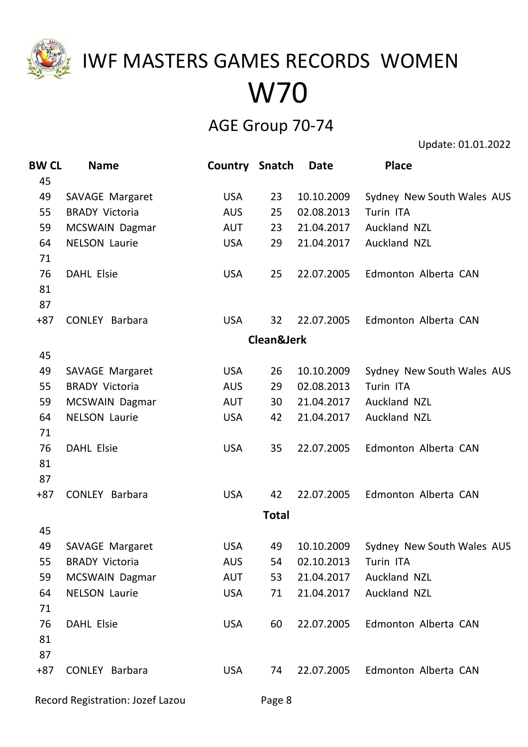

#### AGE Group 70-74

Update: 01.01.2022

| <b>BW CL</b><br>45 | <b>Name</b>            | Country Snatch |                       | <b>Date</b> | <b>Place</b>               |
|--------------------|------------------------|----------------|-----------------------|-------------|----------------------------|
| 49                 | <b>SAVAGE Margaret</b> | <b>USA</b>     | 23                    | 10.10.2009  | Sydney New South Wales AUS |
| 55                 | <b>BRADY Victoria</b>  | <b>AUS</b>     | 25                    | 02.08.2013  | Turin ITA                  |
| 59                 | MCSWAIN Dagmar         | <b>AUT</b>     | 23                    | 21.04.2017  | Auckland NZL               |
| 64                 | <b>NELSON Laurie</b>   | <b>USA</b>     | 29                    | 21.04.2017  | Auckland NZL               |
| 71                 |                        |                |                       |             |                            |
| 76                 | <b>DAHL Elsie</b>      | <b>USA</b>     | 25                    | 22.07.2005  | Edmonton Alberta CAN       |
| 81                 |                        |                |                       |             |                            |
| 87                 |                        |                |                       |             |                            |
| $+87$              | <b>CONLEY Barbara</b>  | <b>USA</b>     | 32                    | 22.07.2005  | Edmonton Alberta CAN       |
|                    |                        |                | <b>Clean&amp;Jerk</b> |             |                            |
| 45                 |                        |                |                       |             |                            |
| 49                 | SAVAGE Margaret        | <b>USA</b>     | 26                    | 10.10.2009  | Sydney New South Wales AUS |
| 55                 | <b>BRADY Victoria</b>  | <b>AUS</b>     | 29                    | 02.08.2013  | Turin ITA                  |
| 59                 | MCSWAIN Dagmar         | <b>AUT</b>     | 30                    | 21.04.2017  | Auckland NZL               |
| 64                 | <b>NELSON Laurie</b>   | <b>USA</b>     | 42                    | 21.04.2017  | Auckland NZL               |
| 71                 |                        |                |                       |             |                            |
| 76                 | <b>DAHL Elsie</b>      | <b>USA</b>     | 35                    | 22.07.2005  | Edmonton Alberta CAN       |
| 81                 |                        |                |                       |             |                            |
| 87                 |                        |                |                       |             |                            |
| $+87$              | <b>CONLEY Barbara</b>  | <b>USA</b>     | 42                    | 22.07.2005  | Edmonton Alberta CAN       |
|                    |                        |                | <b>Total</b>          |             |                            |
| 45                 |                        |                |                       |             |                            |
| 49                 | <b>SAVAGE Margaret</b> | <b>USA</b>     | 49                    | 10.10.2009  | Sydney New South Wales AUS |
| 55                 | <b>BRADY Victoria</b>  | <b>AUS</b>     | 54                    | 02.10.2013  | Turin ITA                  |
| 59                 | MCSWAIN Dagmar         | <b>AUT</b>     | 53                    | 21.04.2017  | Auckland NZL               |
| 64                 | <b>NELSON Laurie</b>   | <b>USA</b>     | 71                    | 21.04.2017  | Auckland NZL               |
| 71                 |                        |                |                       |             |                            |
| 76                 | <b>DAHL Elsie</b>      | <b>USA</b>     | 60                    | 22.07.2005  | Edmonton Alberta CAN       |
| 81                 |                        |                |                       |             |                            |
| 87                 |                        |                |                       |             |                            |
| $+87$              | <b>CONLEY Barbara</b>  | <b>USA</b>     | 74                    | 22.07.2005  | Edmonton Alberta CAN       |
|                    |                        |                |                       |             |                            |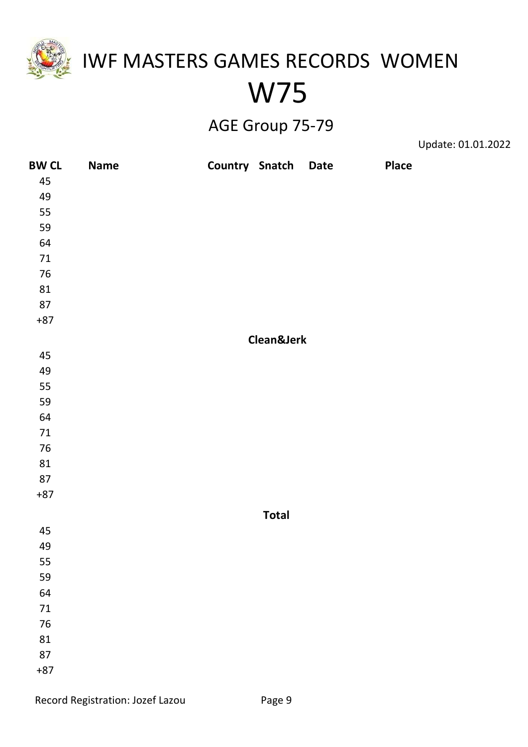

#### W75

AGE Group 75-79

| <b>BW CL</b> | <b>Name</b> | <b>Country Snatch</b> |              | Date | <b>Place</b> |  |
|--------------|-------------|-----------------------|--------------|------|--------------|--|
| 45           |             |                       |              |      |              |  |
| 49           |             |                       |              |      |              |  |
| 55           |             |                       |              |      |              |  |
| 59           |             |                       |              |      |              |  |
| 64           |             |                       |              |      |              |  |
| 71           |             |                       |              |      |              |  |
| $76\,$       |             |                       |              |      |              |  |
| 81           |             |                       |              |      |              |  |
| 87           |             |                       |              |      |              |  |
| $+87$        |             |                       |              |      |              |  |
|              |             |                       | Clean&Jerk   |      |              |  |
| 45           |             |                       |              |      |              |  |
| 49           |             |                       |              |      |              |  |
| 55           |             |                       |              |      |              |  |
| 59           |             |                       |              |      |              |  |
| 64           |             |                       |              |      |              |  |
| $71\,$       |             |                       |              |      |              |  |
| $76\,$       |             |                       |              |      |              |  |
| 81           |             |                       |              |      |              |  |
| $87\,$       |             |                       |              |      |              |  |
| $+87$        |             |                       |              |      |              |  |
|              |             |                       | <b>Total</b> |      |              |  |
| 45           |             |                       |              |      |              |  |
| 49           |             |                       |              |      |              |  |
| 55           |             |                       |              |      |              |  |
| 59           |             |                       |              |      |              |  |
| 64           |             |                       |              |      |              |  |
| $71\,$       |             |                       |              |      |              |  |
| 76           |             |                       |              |      |              |  |
| 81           |             |                       |              |      |              |  |
| 87           |             |                       |              |      |              |  |
| $+87$        |             |                       |              |      |              |  |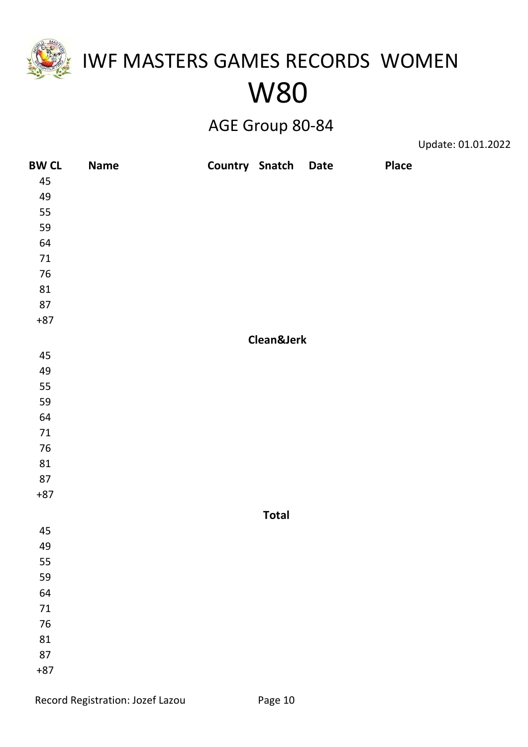

#### AGE Group 80-84

| <b>BW CL</b> | <b>Name</b> | <b>Country Snatch</b> | <b>Date</b> | <b>Place</b> |  |
|--------------|-------------|-----------------------|-------------|--------------|--|
| 45           |             |                       |             |              |  |
| 49           |             |                       |             |              |  |
| 55           |             |                       |             |              |  |
| 59           |             |                       |             |              |  |
| 64           |             |                       |             |              |  |
| $71\,$       |             |                       |             |              |  |
| $76\,$       |             |                       |             |              |  |
| 81           |             |                       |             |              |  |
| $87\,$       |             |                       |             |              |  |
| $+87$        |             |                       |             |              |  |
|              |             | Clean&Jerk            |             |              |  |
| 45           |             |                       |             |              |  |
| 49           |             |                       |             |              |  |
| 55           |             |                       |             |              |  |
| 59           |             |                       |             |              |  |
| 64           |             |                       |             |              |  |
| 71           |             |                       |             |              |  |
| $76\,$       |             |                       |             |              |  |
| 81           |             |                       |             |              |  |
| 87           |             |                       |             |              |  |
| $+87$        |             |                       |             |              |  |
|              |             | <b>Total</b>          |             |              |  |
| 45           |             |                       |             |              |  |
| 49           |             |                       |             |              |  |
| 55           |             |                       |             |              |  |
| 59           |             |                       |             |              |  |
| 64           |             |                       |             |              |  |
| $71\,$       |             |                       |             |              |  |
| $76\,$       |             |                       |             |              |  |
| 81           |             |                       |             |              |  |
| 87           |             |                       |             |              |  |
| $+87$        |             |                       |             |              |  |